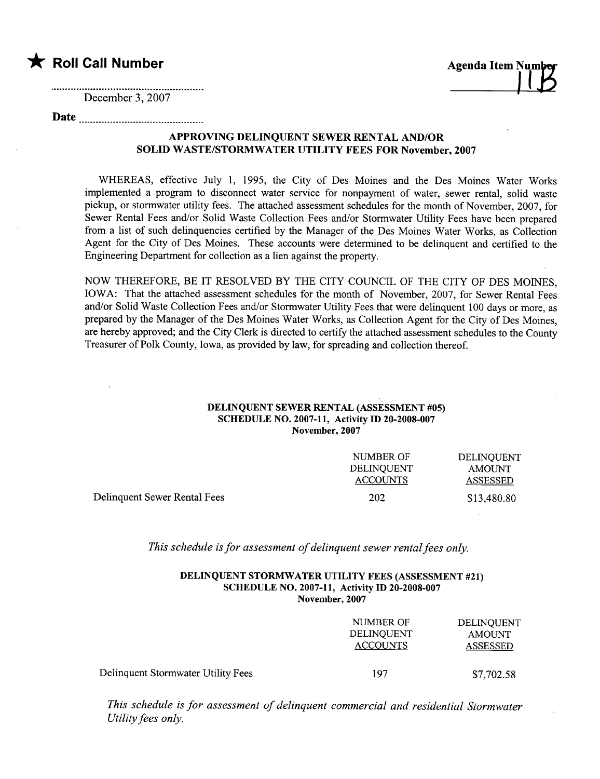

 $\cdot$ 

December 3,2007

Date

## APPROVING DELINQUENT SEWER RENTAL AND/OR SOLID WASTE/STORMWATER UTILITY FEES FOR November, 2007

WHEREAS, effective July 1, 1995, the City of Des Moines and the Des Moines Water Works implemented a program to disconnect water service for nonpayment of water, sewer rental, solid waste pickup, or stormwater utility fees. The attached assessment schedules for the month of November, 2007, for Sewer Rental Fees and/or Solid Waste Collection Fees and/or Stormwater Utility Fees have been prepared from a list of such delinquencies certified by the Manager of the Des Moines Water Works, as Collection Agent for the City of Des Moines. These accounts were determined to be delinquent and certified to the Engineering Department for collection as a lien against the property.

NOW THEREFORE, BE IT RESOLVED BY THE CITY COUNCIL OF THE CITY OF DES MOINES, IOWA: That the attached assessment schedules for the month of November, 2007, for Sewer Rental Fees and/or Solid Waste Collection Fees and/or Stormwater Utility Fees that were delinquent 100 days or more, as prepared by the Manager of the Des Moines Water Works, as Collection Agent for the City of Des Moines, are hereby approved; and the City Clerk is directed to certify the attached assessment schedules to the County Treasurer of Polk County, Iowa, as provided by law, for spreading and collection thereof.

## DELINQUENT SEWER RENTAL (ASSESSMENT #05) SCHEDULE NO. 2007-11, Activity ID 20-2008-007 November, 2007

|                              | NUMBER OF       | DELINOUENT    |
|------------------------------|-----------------|---------------|
|                              | DELINOUENT      | <b>AMOUNT</b> |
|                              | <b>ACCOUNTS</b> | ASSESSED      |
| Delinquent Sewer Rental Fees | 202             | \$13,480.80   |

This schedule is for assessment of delinquent sewer rental fees only.

## DELINQUENT STORMWATER UTILITY FEES (ASSESSMENT #21) SCHEDULE NO. 2007-11, Activity ID 20-2008-007 November, 2007

|                                    | NUMBER OF<br>DELINOUENT<br><b>ACCOUNTS</b> | DELINQUENT<br><b>AMOUNT</b><br><b>ASSESSED</b> |
|------------------------------------|--------------------------------------------|------------------------------------------------|
| Delinquent Stormwater Utility Fees | 197                                        | \$7,702.58                                     |

This schedule is for assessment of delinquent commercial and residential Stormwater Utility fees only.